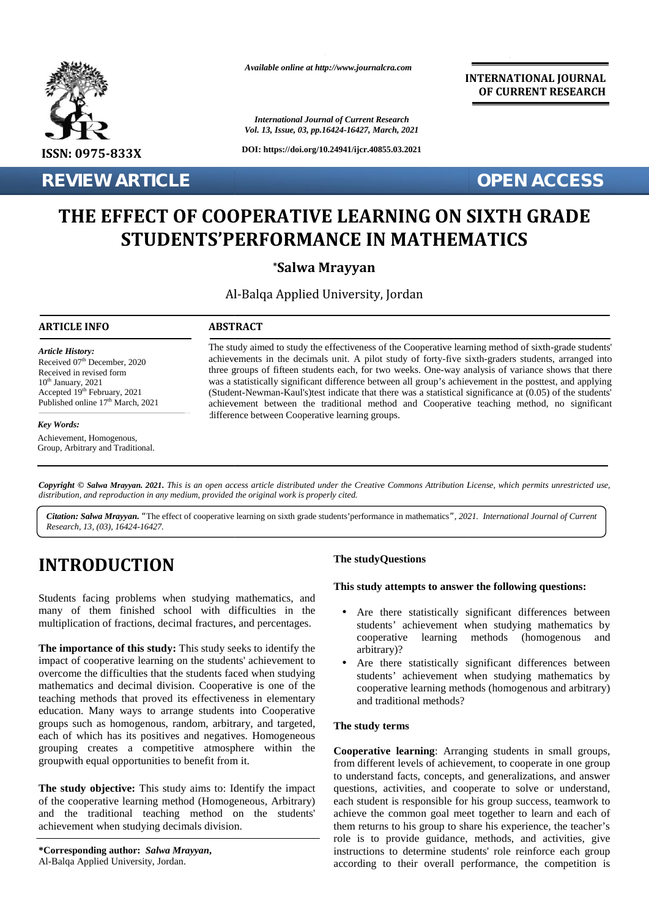

*Available online at http://www.journalcra.com*

*International Journal of Current Research Vol. 13, Issue, 03, pp.16424-16427, March, 2021*

**DOI: https://doi.org/10.24941/ijcr.40855.03.2021**

**INTERNATIONAL JOURNAL OF CURRENT RESEARCH**

**REVIEW ARTICLE** *OPEN ACCESS* 

# THE EFFECT OF COOPERATIVE LEARNING ON SIXTH GRADE<br>STUDENTS'PERFORMANCE IN MATHEMATICS **STUDENTS'PERFORMANCE IN MATHEMATICS**

### **\*Salwa Mrayyan \*Mrayyan**

Al-Balqa Applied University, Jordan

#### **ARTICLE INFO ABSTRACT ARTICLE ABSTRACT**

*Article History: Article History:*  $\text{Received } 07^{\text{th}}$  December, 2020 Received U/ December, 2020<br>Received in revised form  $10<sup>th</sup>$  January, 2021 Received in revised form form<br>  $10^{\text{th}}$  January, 2021 w<br>
Accepted 19<sup>th</sup> February, 2021 (9) Published online  $17<sup>th</sup>$  March, 2021 *Research* of December, 2020<br> *Research* of December, 2020<br> *Research* in revised form<br> *Research* 19<sup>th</sup> February, 2021<br> *Research, 13, (03), 10424-16427.*<br> *Research, 13, (03), 16424-16427.* 

#### *Key Words: Key Words:*

Achievement, Homogenous, Group, Arbitrary and Traditional.

The study aimed to study the effectiveness of the Cooperative learning method of sixth-grade students' achievements in the decimals unit. A pilot study of forty-five sixth-graders students, arranged into achievements in the decimals unit. A pilot study of forty-five sixth-graders students, arranged into three groups of fifteen students each, for two weeks. One-way analysis of variance shows that there was a statistically significant difference between all group's achievement in the posttest, and applying (Student-Newman-Kaul's)test indicate that there was a statistical significance at (0.05) of the students' achievement between the traditional method and Cooperative teaching method, no significant difference between Cooperative learning groups. (Student-Newman-Kaul's)test indicate that there was a statistical significance at (0.05) of the students' achievement between the traditional method and Cooperative teaching method, no significant difference between Cooper the study aimed to study the effectiveness of the Cooperative learning method of sixth-grade students<br>
<sup>th</sup> December, 2020<br>
the students in the decimals unit. A pilot study of forty-five sixth-graders students, arranged in

**Copyright © Salwa Mrayyan. 2021.** This is an open access article distributed under the Creative Commons Attribution License, which permits unrestricted use,<br>distribution, and reproduction in any medium, provided the origi *distribution, and reproduction in any medium, provided the original work is properly cited.*

*Citation: Salwa Mrayyan. "*The effect of cooperative learning on sixth grade students'performance in mathematics*", 2021. International Journal of Current "Research, 13, (03), 16424-16427.*

## **INTRODUCTION INTRODUCTION**

Students facing problems when studying mathematics, and many of them finished school with difficulties in the multiplication of fractions, decimal fractures, and percentages. Students facin<br>many of the<br>multiplication

**The importance of this study:** This study seeks to identify the **The importance** impact of cooperative learning on the students' achievement to overcome the difficulties that the students faced when studying mathematics and decimal division. Cooperative is one of the teaching methods that proved its effectiveness in elementary education. Many ways to arrange students into Cooperative groups such as homogenous, random, arbitrary, and targeted, each of which has its positives and negatives. Homogeneous grouping creates a competitive atmosphere within the  $Co$ groupwith equal opportunities to benefit from it. impact of cooperative learning on the students' achievement to overcome the difficulties that the students faced when studying mathematics and decimal division. Cooperative is one of the teaching methods that proved its ef each of which has its positives and<br>grouping creates a competitive<br>groupwith equal opportunities to ber All-Ball between mathematics (homogenous and all-Ball Between mathematics (homogenous and al-Ball Between mathematics in in the state of the control of the state of the state of the state of the state of the state of the matics and decimal division. Cooperative is one of the<br>g methods that proved its effectiveness in elementary<br>ion. Many ways to arrange students into Cooperative<br>such as homogenous, random, arbitrary, and targeted,<br>f which

**The study objective:** This study aims to: Identify the impact c of the cooperative learning method (Homogeneous, Arbitrary) of and the traditional teaching method on the students' achievement when studying decimals division. achievement when studying decimals division.

#### **The studyQuestions**

#### **This study attempts to answer the following questions:**

- Are there statistically significant differences between students' achievement when studying mathematics by cooperative learning methods (homogenous and arbitrary)?
- Are there statistically significant differences between students' achievement when studying mathematics by cooperative learning methods (homogenous and arbitrary) and traditional methods?

#### **The study terms**

**Cooperative learning**: Arranging students in small groups, from different levels of achievement, to cooperate in one group to understand facts, concepts, and generalizations, and answer questions, activities, and cooperate to solve or understand, each student is responsible for his group success, teamwork to achieve the common goal meet together to learn and each of them returns to his group to share his experience, the teacher's role is to provide guidance, methods, and activities, give instructions to determine students' role reinforce each group according to their overall performance, the competition is Traditional.<br> **Example 2011.** This is an open access article distributed under the Creative Commons Attribution License, which permits intreasting<br> **EXENCITION** The study of the property circle of the property circle of t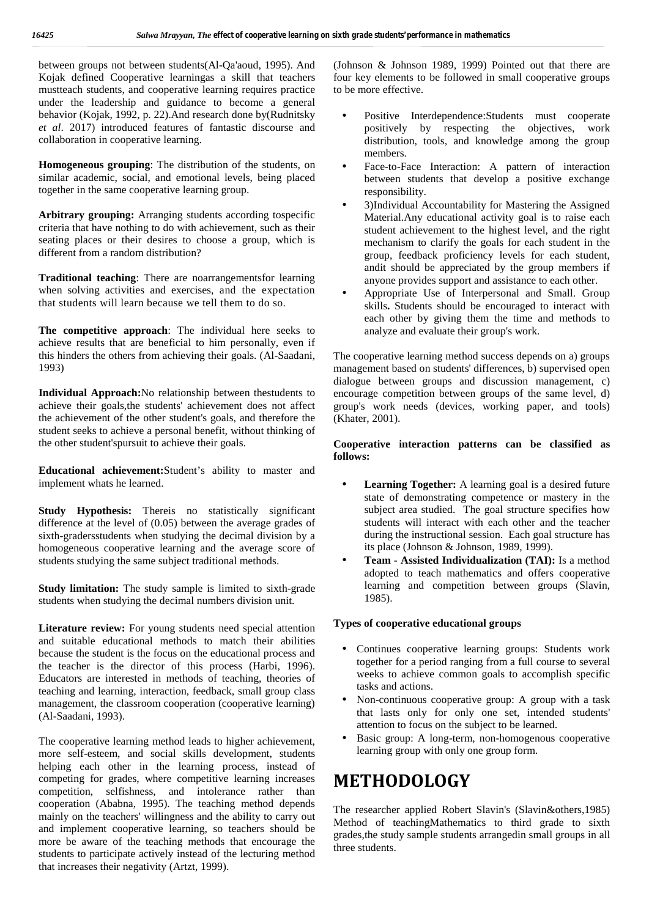between groups not between students(Al-Qa'aoud, 1995). And Kojak defined Cooperative learningas a skill that teachers mustteach students, and cooperative learning requires practice under the leadership and guidance to become a general behavior (Kojak, 1992, p. 22).And research done by(Rudnitsky *et al*. 2017) introduced features of fantastic discourse and collaboration in cooperative learning.

**Homogeneous grouping**: The distribution of the students, on similar academic, social, and emotional levels, being placed together in the same cooperative learning group.

**Arbitrary grouping:** Arranging students according tospecific criteria that have nothing to do with achievement, such as their seating places or their desires to choose a group, which is different from a random distribution?

**Traditional teaching**: There are noarrangementsfor learning when solving activities and exercises, and the expectation [1] that students will learn because we tell them to do so.

**The competitive approach**: The individual here seeks to achieve results that are beneficial to him personally, even if this hinders the others from achieving their goals. (Al-Saadani, 1993)

**Individual Approach:**No relationship between thestudents to achieve their goals,the students' achievement does not affect the achievement of the other student's goals, and therefore the student seeks to achieve a personal benefit, without thinking of the other student'spursuit to achieve their goals.

**Educational achievement:**Student's ability to master and implement whats he learned.

**Study Hypothesis:** Thereis no statistically significant difference at the level of (0.05) between the average grades of sixth-gradersstudents when studying the decimal division by a homogeneous cooperative learning and the average score of students studying the same subject traditional methods.

**Study limitation:** The study sample is limited to sixth-grade students when studying the decimal numbers division unit.

**Literature review:** For young students need special attention and suitable educational methods to match their abilities because the student is the focus on the educational process and the teacher is the director of this process (Harbi, 1996). Educators are interested in methods of teaching, theories of teaching and learning, interaction, feedback, small group class management, the classroom cooperation (cooperative learning) (Al-Saadani, 1993).

The cooperative learning method leads to higher achievement, more self-esteem, and social skills development, students helping each other in the learning process, instead of competing for grades, where competitive learning increases competition, selfishness, and intolerance rather than cooperation (Ababna, 1995). The teaching method depends mainly on the teachers' willingness and the ability to carry out and implement cooperative learning, so teachers should be more be aware of the teaching methods that encourage the students to participate actively instead of the lecturing method that increases their negativity (Artzt, 1999).

(Johnson & Johnson 1989, 1999) Pointed out that there are four key elements to be followed in small cooperative groups to be more effective.

- Positive Interdependence:Students must cooperate positively by respecting the objectives, work distribution, tools, and knowledge among the group members.
- Face-to-Face Interaction: A pattern of interaction between students that develop a positive exchange responsibility.
- 3)Individual Accountability for Mastering the Assigned Material.Any educational activity goal is to raise each student achievement to the highest level, and the right mechanism to clarify the goals for each student in the group, feedback proficiency levels for each student, andit should be appreciated by the group members if anyone provides support and assistance to each other.
- Appropriate Use of Interpersonal and Small. Group skills**.** Students should be encouraged to interact with each other by giving them the time and methods to analyze and evaluate their group's work.

The cooperative learning method success depends on a) groups management based on students' differences, b) supervised open dialogue between groups and discussion management, c) encourage competition between groups of the same level, d) group's work needs (devices, working paper, and tools) (Khater, 2001).

#### **Cooperative interaction patterns can be classified as follows:**

- **Learning Together:** A learning goal is a desired future state of demonstrating competence or mastery in the subject area studied. The goal structure specifies how students will interact with each other and the teacher during the instructional session. Each goal structure has its place (Johnson & Johnson, 1989, 1999).
- **Team - Assisted Individualization (TAI):** Is a method adopted to teach mathematics and offers cooperative learning and competition between groups (Slavin, 1985).

#### **Types of cooperative educational groups**

- Continues cooperative learning groups: Students work together for a period ranging from a full course to several weeks to achieve common goals to accomplish specific tasks and actions.
- Non-continuous cooperative group: A group with a task that lasts only for only one set, intended students' attention to focus on the subject to be learned.
- Basic group: A long-term, non-homogenous cooperative learning group with only one group form.

### **METHODOLOGY**

The researcher applied Robert Slavin's (Slavin&others,1985) Method of teachingMathematics to third grade to sixth grades,the study sample students arrangedin small groups in all three students.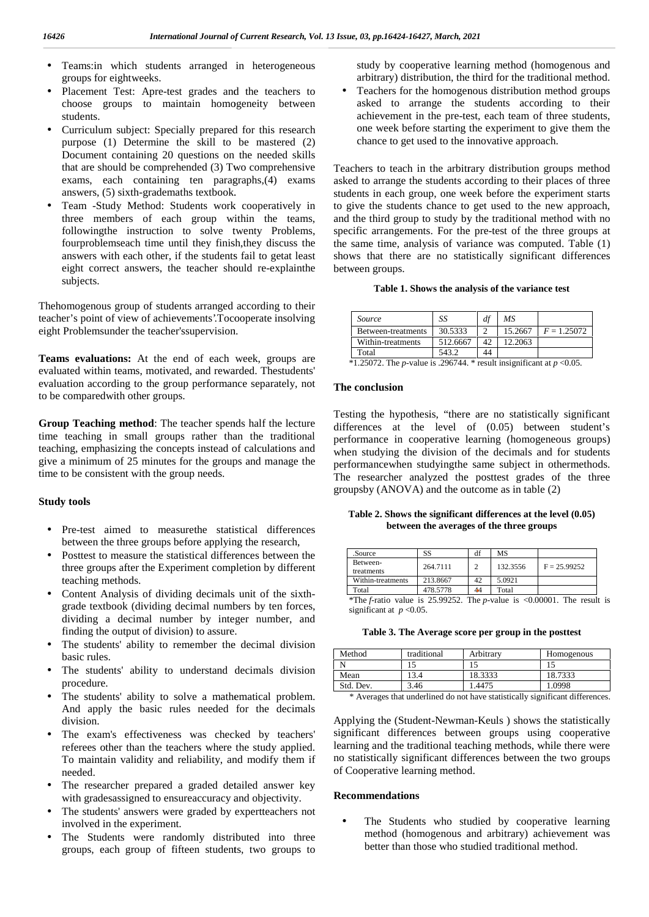- ) Teams: in which students arranged in heterogeneous groups for eightweeks. groups for eightweeks.
- Placement Test: Apre-test grades and the teachers to ) Placement Test: Apre-test grades and the teachers to ) choose groups to maintain homogeneity between students.
- Curriculum subject: Specially prepared for this research purpose (1) Determine the skill to be mastered (2) J Curriculum subject: Specially prepared for this research purpose (1) Determine the skill to be mastered (2) Document containing 20 questions on the needed skills that are should be comprehended (3) Two comprehensive exams, each containing ten paragraphs,(4) exams answers, (5) sixth-grademaths textbook.
- Team -Study Method: Students work cooperatively in three members of each group within the teams, followingthe instruction to solve twenty Problems, fourproblemseach time until they finish,they discuss the answers with each other, if the students fail to getat least eight correct answers, the teacher should re-explainthe subjects. answers with each other, if the students fail to getat least<br>
eight correct answers, the teacher should re-explainthe<br>
subjects.<br>
Thehomogenous group of students arranged according to their

teacher's point of view of achievements'.Tocooperate insolving teacher's eight Problemsunder the teacher'ssupervision. eight

**Teams evaluations:** At the end of each week, groups are evaluated within teams, motivated, and rewarded. Thestudents' **Teams evaluations:** At the end of each week, groups are evaluated within teams, motivated, and rewarded. The students' evaluation according to the group performance separately, not to be comparedwith other groups. to

**Group Teaching method**: The teacher spends half the lecture<br>
time teaching in small groups rather than the traditional<br>
teaching, emphasizing the concepts instead of calculations and<br>
give a minimum of 25 minutes for the time teaching in small groups rather than the traditional teaching, emphasizing the concepts instead of calculations and give a minimum of 25 minutes for the groups and manage the time to be consistent with the group needs.

#### **Study tools Study**

- Pre-test aimed to measurethe statistical differences between the three groups before applying the research,
- ) Posttest to measure the statistical differences between the three groups after the Experiment completion by different teaching methods. three groups after the Experiment completion by different teaching methods.
- J Content Analysis of dividing decimals unit of the sixth-<br>grade textbook (dividing decimal numbers by ten forces,<br>dividing a decimal number by integer number, and grade textbook (dividing decimal numbers by ten forces, dividing a decimal number by integer number, and finding the output of division) to assure. Experiment completion by different<br>
Experiment completion by different<br>
dividing decimals unit of the sixth-<br>
ing decimals unit of the sixth-<br>
significant at *I*<br>
significant at *I*<br>
significant at *I*<br>
division) to assure
- The students' ability to remember the decimal division basic rules.
- The students' ability to understand decimals division procedure.
- The students' ability to solve a mathematical problem. And apply the basic rules needed for the decimals division. The students' ability to remember the decima<br>basic rules.<br>The students' ability to understand decimals<br>procedure.<br>The students' ability to solve a mathematical<br>And apply the basic rules needed for the<br>division.
- The exam's effectiveness was checked by teachers' referees other than the teachers where the study applied. To maintain validity and reliability, and modify them if needed.  $\big)$
- The researcher prepared a graded detailed answer key ) The researcher prepared a graded detailed answer key with grades assigned to ensure accuracy and objectivity.
- ) The students' answers were graded by expertteachers not involved in the experiment. involved in the experiment.
- The Students were randomly distributed into three groups, each group of fifteen students, two groups to

study by cooperative learning method (homogenous and arbitrary) distribution, the third for the traditional method.

 Teachers for the homogenous distribution method groups asked to arrange the students according to their achievement in the pre-test, each team of three students, one week before starting the experiment to give them the chance to get used to the innovative approach.

Teachers to teach in the arbitrary distribution groups method asked to arrange the students according to their places of three students in each group, one week before the experiment starts to give the students chance to get used to the new approach, and the third group to study by the traditional method with no specific arrangements. For the pre-test of the three groups at the same time, analysis of variance was computed. Table (1) shows that there are no statistically significant differences between groups. J Francis space when strong in two paper is an alon by coupratio that<br>shares and the strong space of the tactors is  $\sim$  11 or the two paper shares and the control or the strong space of the two paper strong in order to External formulations at the statistical by the statistical by statistical formulations are extendible to the statistical by dependent of the statistical by dependent of the statistical by dependent of the studies of the

#### **Table 1. Shows the analysis of the variance test**

| Source             | SS       | df | МS      |               |
|--------------------|----------|----|---------|---------------|
| Between-treatments | 30.5333  |    | 15.2667 | $F = 1.25072$ |
| Within-treatments  | 512.6667 | 42 | 12.2063 |               |
| Total              | 543.2    | 44 |         |               |

 $*1.25072$ . The *p*-value is .296744.  $*$  result insignificant at  $p < 0.05$ .

#### **The conclusion**

Testing the hypothesis, "there are no statistically significant differences at the level of (0.05) between student's performance in cooperative learning (homogeneous groups) when studying the division of the decimals and for students performancewhen studyingthe same subject in othermethods. The researcher analyzed the posttest grades of the three groupsby (ANOVA) and the outcome as in table (2)

**Table 2. Shows the significant differences at the level (0.05) between the averages of the three groups**

| .Source                           | SS       | df            | MS                           |                |  |
|-----------------------------------|----------|---------------|------------------------------|----------------|--|
| Between-                          | 264.7111 | $\mathcal{D}$ | 132.3556                     | $F = 25.99252$ |  |
| treatments                        |          |               |                              |                |  |
| Within-treatments                 | 213.8667 | 42            | 5.0921                       |                |  |
| Total                             | 478.5778 | 44            | Total                        |                |  |
| $*$ The f-ratio value is 25,99252 |          |               | The n-value is $\lt 0.00001$ | The result is  |  |

\*The *f*-ratio value is 25.99252. The *p*-value is <0.00001. The result is significant at  $p < 0.05$ . value

| Table 3. The Average score per group in the posttest |  |
|------------------------------------------------------|--|
|------------------------------------------------------|--|

| Method    | traditional | Arbitrary | Homogenous |
|-----------|-------------|-----------|------------|
|           |             |           |            |
| Mean      | 3.4         | 18.3333   | 18.7333    |
| Std. Dev. | 3.46        | .4475     | 1.0998     |

\* Averages that underlined do not have statistically significant differences.

Applying the (Student-Newman-Keuls ) shows the statistically significant differences between groups using cooperative learning and the traditional teaching methods, while there were no statistically significant differences between the two groups of Cooperative learning method. (Student-Newman-Keuls) shows<br>differences between groups usin<br>the traditional teaching methods, w

#### **Recommendations**

 The Students who studied by cooperative learning method (homogenous and arbitrary) achievement was better than those who studied traditional method.